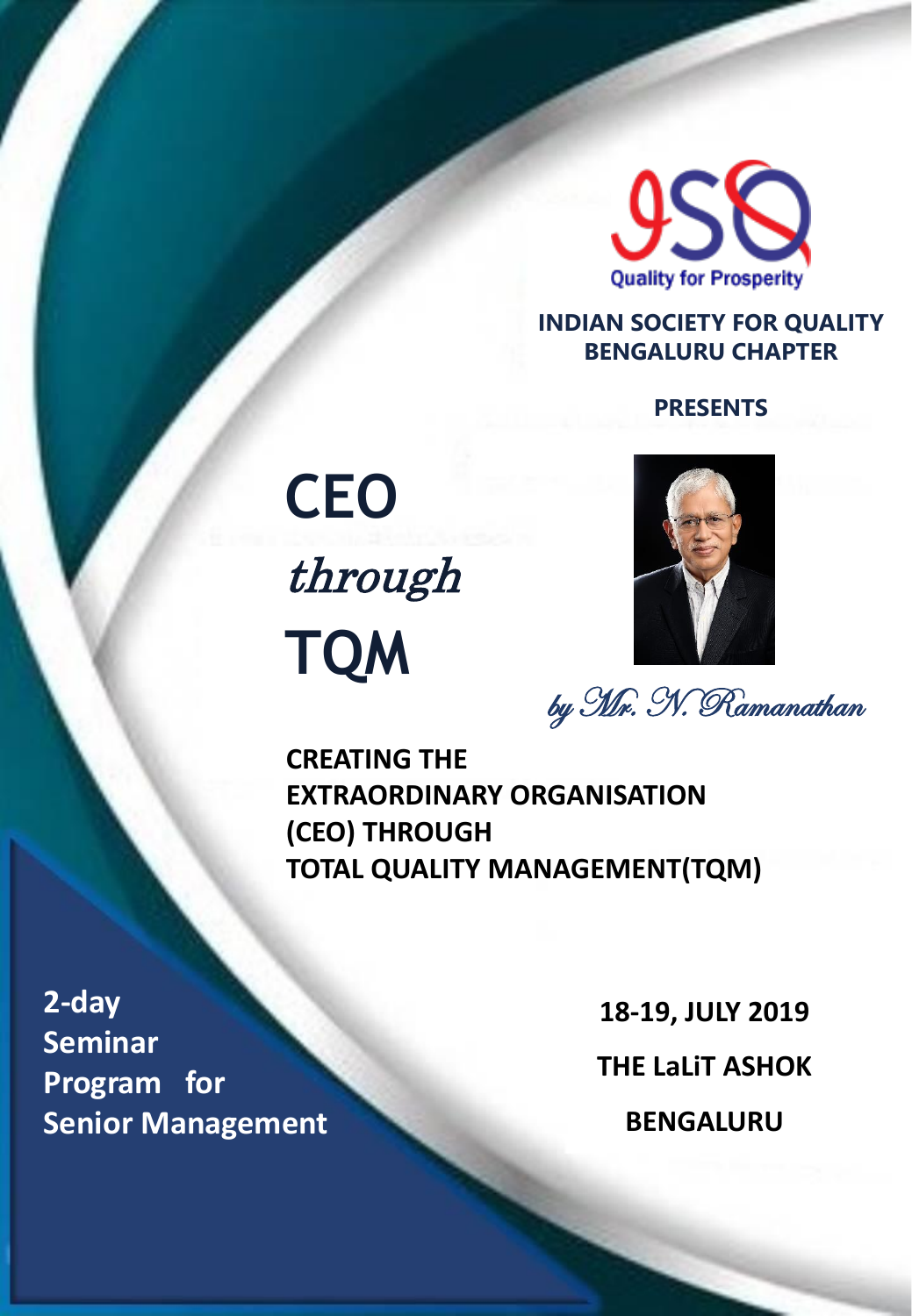

**INDIAN SOCIETY FOR QUALITY BENGALURU CHAPTER** 

**PRESENTS**

# **CEO**  through **TQM**



by Mr. N. Ramanathan

**CREATING THE EXTRAORDINARY ORGANISATION (CEO) THROUGH TOTAL QUALITY MANAGEMENT(TQM)**

**2-day Seminar Program for Senior Management**

**18-19, JULY 2019**

**THE LaLiT ASHOK** 

**BENGALURU**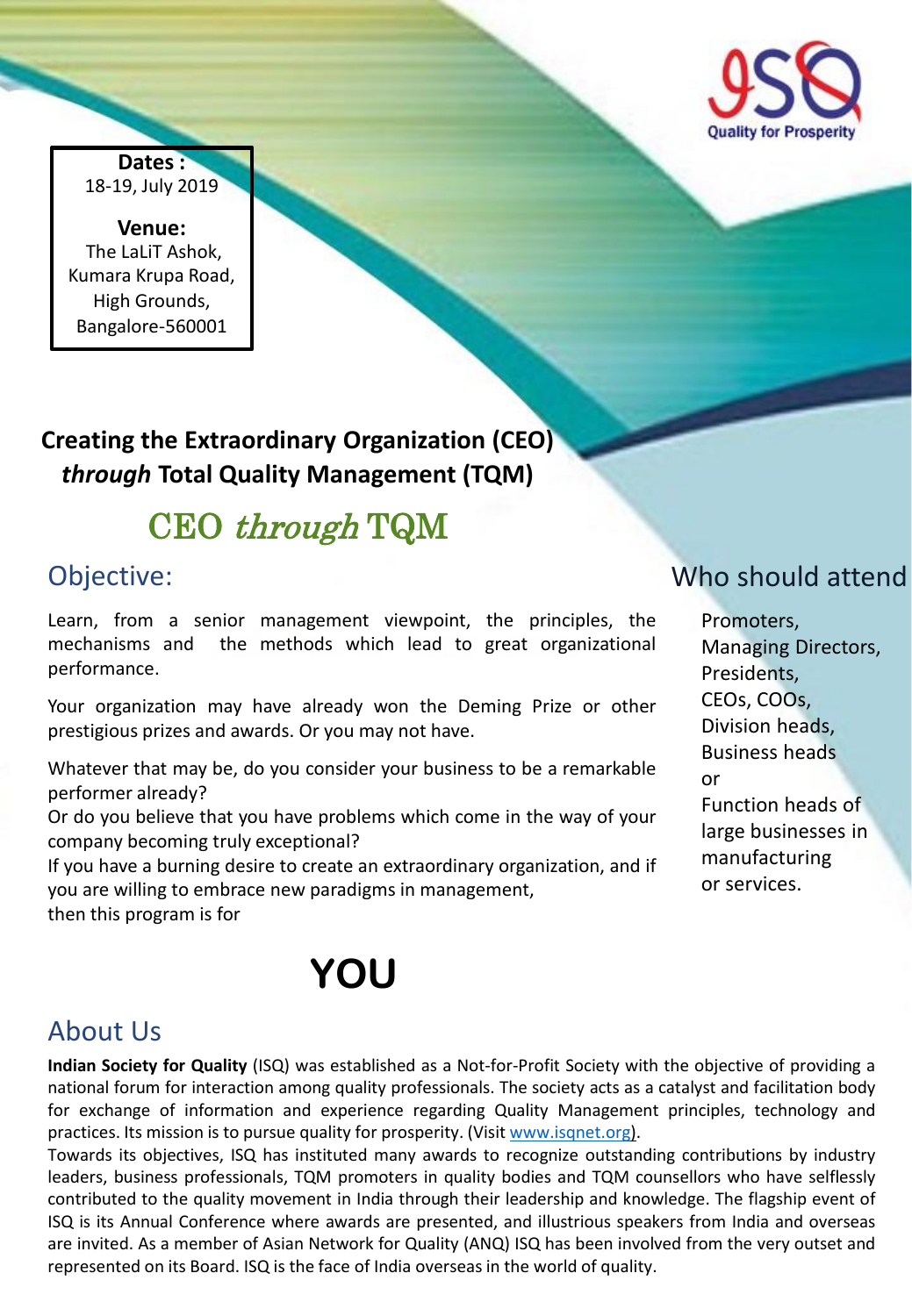

**Dates :**  18-19, July 2019

**Venue:** The LaLiT Ashok, Kumara Krupa Road, High Grounds, Bangalore-560001

# **Creating the Extraordinary Organization (CEO)**  *through* **Total Quality Management (TQM)**

# CEO through TQM

### Objective:

Learn, from a senior management viewpoint, the principles, the mechanisms and the methods which lead to great organizational performance.

Your organization may have already won the Deming Prize or other prestigious prizes and awards. Or you may not have.

Whatever that may be, do you consider your business to be a remarkable performer already?

Or do you believe that you have problems which come in the way of your company becoming truly exceptional?

If you have a burning desire to create an extraordinary organization, and if you are willing to embrace new paradigms in management, then this program is for

**YOU**

# About Us

**Indian Society for Quality** (ISQ) was established as a Not-for-Profit Society with the objective of providing a national forum for interaction among quality professionals. The society acts as a catalyst and facilitation body for exchange of information and experience regarding Quality Management principles, technology and practices. Its mission is to pursue quality for prosperity. (Visit [www.isqnet.org\)](http://www.isqnet.org/).

Towards its objectives, ISQ has instituted many awards to recognize outstanding contributions by industry leaders, business professionals, TQM promoters in quality bodies and TQM counsellors who have selflessly contributed to the quality movement in India through their leadership and knowledge. The flagship event of ISQ is its Annual Conference where awards are presented, and illustrious speakers from India and overseas are invited. As a member of Asian Network for Quality (ANQ) ISQ has been involved from the very outset and represented on its Board. ISQ is the face of India overseas in the world of quality.

# Who should attend

Promoters, Managing Directors, Presidents, CEOs, COOs, Division heads, Business heads or Function heads of large businesses in manufacturing or services.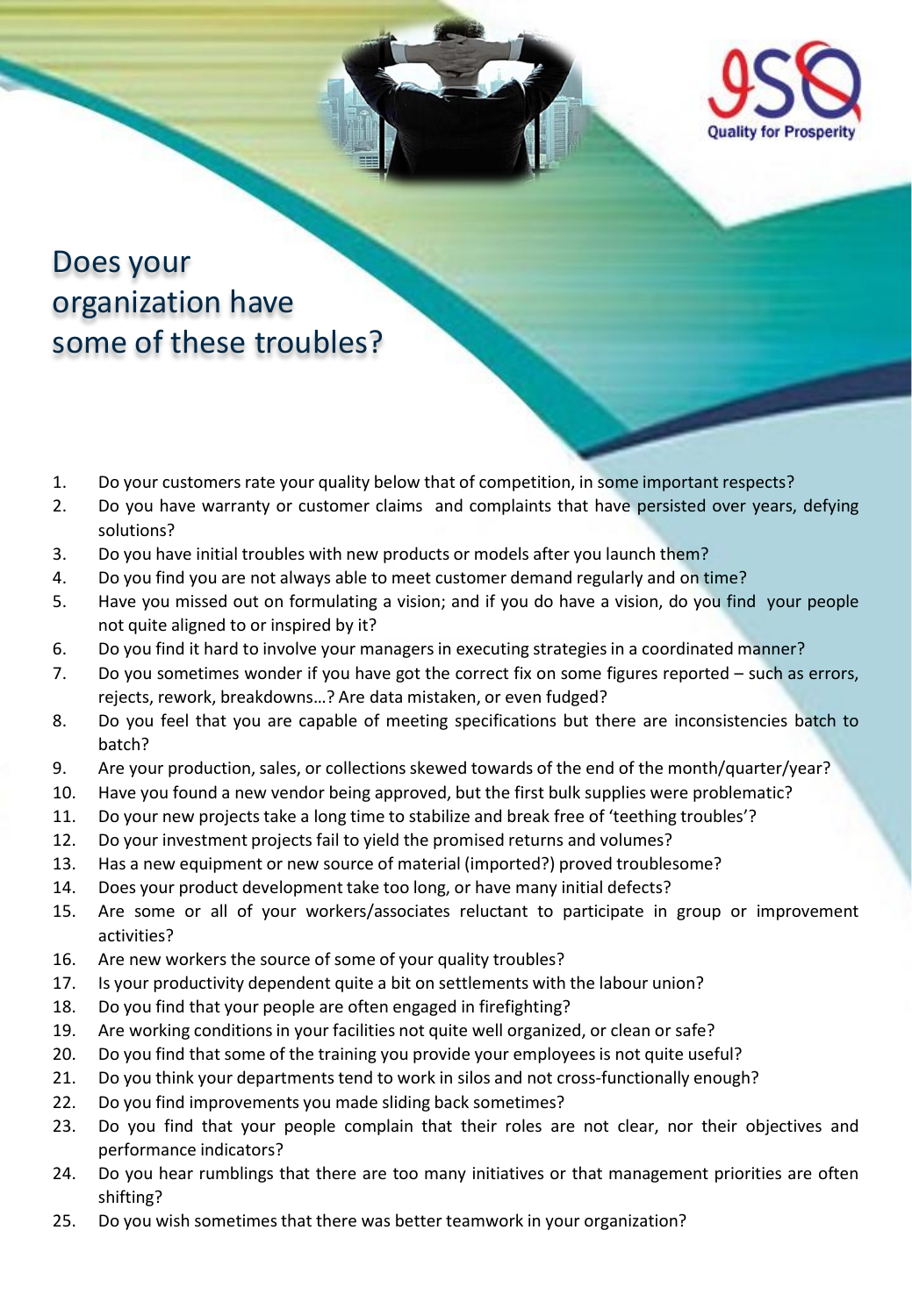

# Does your organization have some of these troubles?

- 1. Do your customers rate your quality below that of competition, in some important respects?
- 2. Do you have warranty or customer claims and complaints that have persisted over years, defying solutions?
- 3. Do you have initial troubles with new products or models after you launch them?
- 4. Do you find you are not always able to meet customer demand regularly and on time?
- 5. Have you missed out on formulating a vision; and if you do have a vision, do you find your people not quite aligned to or inspired by it?
- 6. Do you find it hard to involve your managers in executing strategiesin a coordinated manner?
- 7. Do you sometimes wonder if you have got the correct fix on some figures reported such as errors, rejects, rework, breakdowns…? Are data mistaken, or even fudged?
- 8. Do you feel that you are capable of meeting specifications but there are inconsistencies batch to batch?
- 9. Are your production, sales, or collections skewed towards of the end of the month/quarter/year?
- 10. Have you found a new vendor being approved, but the first bulk supplies were problematic?
- 11. Do your new projects take a long time to stabilize and break free of 'teething troubles'?
- 12. Do your investment projects fail to yield the promised returns and volumes?
- 13. Has a new equipment or new source of material (imported?) proved troublesome?
- 14. Does your product development take too long, or have many initial defects?
- 15. Are some or all of your workers/associates reluctant to participate in group or improvement activities?
- 16. Are new workers the source of some of your quality troubles?
- 17. Is your productivity dependent quite a bit on settlements with the labour union?
- 18. Do you find that your people are often engaged in firefighting?
- 19. Are working conditions in your facilities not quite well organized, or clean or safe?
- 20. Do you find that some of the training you provide your employeesis not quite useful?
- 21. Do you think your departments tend to work in silos and not cross-functionally enough?
- 22. Do you find improvements you made sliding back sometimes?
- 23. Do you find that your people complain that their roles are not clear, nor their objectives and performance indicators?
- 24. Do you hear rumblings that there are too many initiatives or that management priorities are often shifting?
- 25. Do you wish sometimes that there was better teamwork in your organization?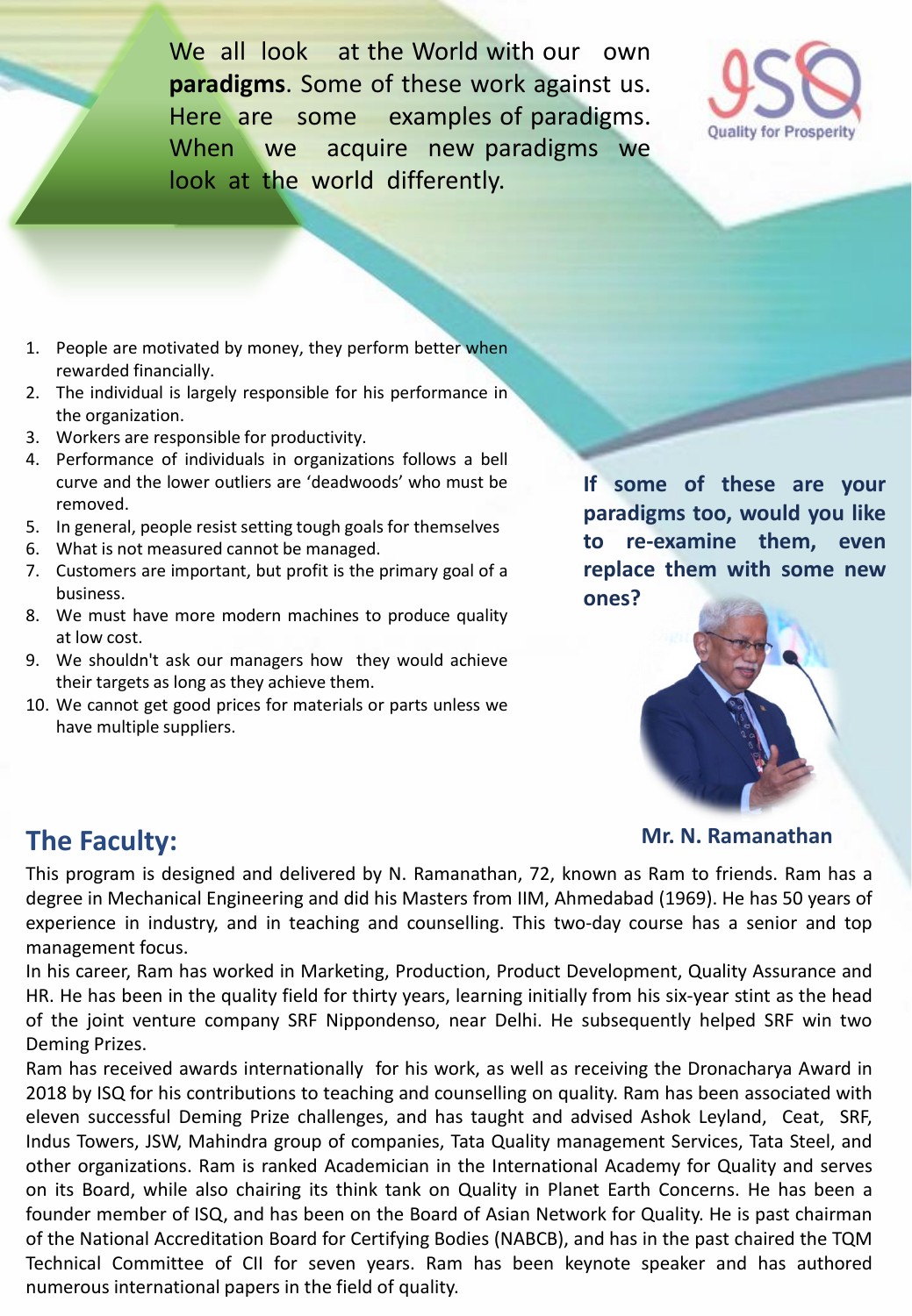We all look at the World with our own **paradigms**. Some of these work against us. Here are some examples of paradigms. When we acquire new paradigms we look at the world differently.



- 1. People are motivated by money, they perform better when rewarded financially.
- 2. The individual is largely responsible for his performance in the organization.
- 3. Workers are responsible for productivity.
- 4. Performance of individuals in organizations follows a bell curve and the lower outliers are 'deadwoods' who must be removed.
- 5. In general, people resist setting tough goals for themselves
- 6. What is not measured cannot be managed.
- 7. Customers are important, but profit is the primary goal of a business.
- 8. We must have more modern machines to produce quality at low cost.
- 9. We shouldn't ask our managers how they would achieve their targets as long as they achieve them.
- 10. We cannot get good prices for materials or parts unless we have multiple suppliers.

**If some of these are your paradigms too, would you like to re-examine them, even replace them with some new ones?**



### **The Faculty:**

This program is designed and delivered by N. Ramanathan, 72, known as Ram to friends. Ram has a degree in Mechanical Engineering and did his Masters from IIM, Ahmedabad (1969). He has 50 years of experience in industry, and in teaching and counselling. This two-day course has a senior and top management focus.

In his career, Ram has worked in Marketing, Production, Product Development, Quality Assurance and HR. He has been in the quality field for thirty years, learning initially from his six-year stint as the head of the joint venture company SRF Nippondenso, near Delhi. He subsequently helped SRF win two Deming Prizes.

Ram has received awards internationally for his work, as well as receiving the Dronacharya Award in 2018 by ISQ for his contributions to teaching and counselling on quality. Ram has been associated with eleven successful Deming Prize challenges, and has taught and advised Ashok Leyland, Ceat, SRF, Indus Towers, JSW, Mahindra group of companies, Tata Quality management Services, Tata Steel, and other organizations. Ram is ranked Academician in the International Academy for Quality and serves on its Board, while also chairing its think tank on Quality in Planet Earth Concerns. He has been a founder member of ISQ, and has been on the Board of Asian Network for Quality. He is past chairman of the National Accreditation Board for Certifying Bodies (NABCB), and has in the past chaired the TQM Technical Committee of CII for seven years. Ram has been keynote speaker and has authored numerous international papers in the field of quality.

### **Mr. N. Ramanathan**